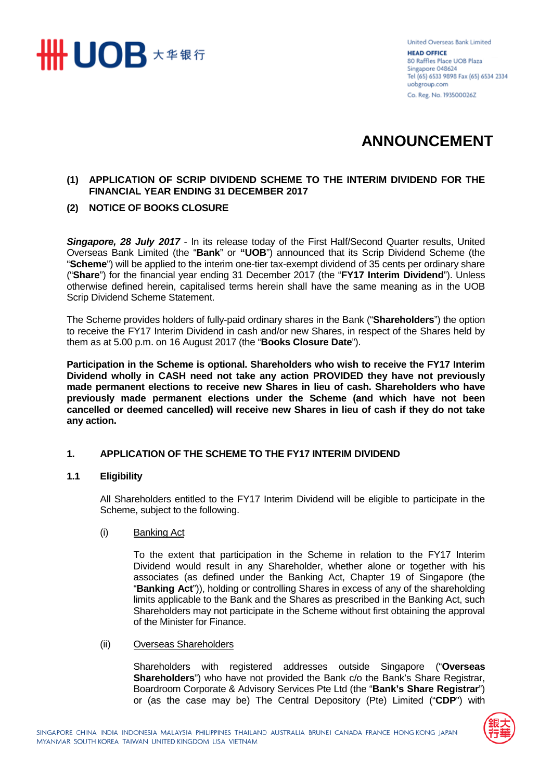

United Overseas Bank Limited **HEAD OFFICE** 80 Raffles Place UOB Plaza Singapore 048624 Tel (65) 6533 9898 Fax (65) 6534 2334 uobgroup.com Co. Reg. No. 193500026Z

# **ANNOUNCEMENT**

# **(1) APPLICATION OF SCRIP DIVIDEND SCHEME TO THE INTERIM DIVIDEND FOR THE FINANCIAL YEAR ENDING 31 DECEMBER 2017**

# **(2) NOTICE OF BOOKS CLOSURE**

*Singapore, 28 July 2017* - In its release today of the First Half/Second Quarter results, United Overseas Bank Limited (the "**Bank**" or **"UOB**") announced that its Scrip Dividend Scheme (the "**Scheme**") will be applied to the interim one-tier tax-exempt dividend of 35 cents per ordinary share ("**Share**") for the financial year ending 31 December 2017 (the "**FY17 Interim Dividend**"). Unless otherwise defined herein, capitalised terms herein shall have the same meaning as in the UOB Scrip Dividend Scheme Statement.

The Scheme provides holders of fully-paid ordinary shares in the Bank ("**Shareholders**") the option to receive the FY17 Interim Dividend in cash and/or new Shares, in respect of the Shares held by them as at 5.00 p.m. on 16 August 2017 (the "**Books Closure Date**").

**Participation in the Scheme is optional. Shareholders who wish to receive the FY17 Interim Dividend wholly in CASH need not take any action PROVIDED they have not previously made permanent elections to receive new Shares in lieu of cash. Shareholders who have previously made permanent elections under the Scheme (and which have not been cancelled or deemed cancelled) will receive new Shares in lieu of cash if they do not take any action.**

#### **1. APPLICATION OF THE SCHEME TO THE FY17 INTERIM DIVIDEND**

#### **1.1 Eligibility**

All Shareholders entitled to the FY17 Interim Dividend will be eligible to participate in the Scheme, subject to the following.

(i) Banking Act

To the extent that participation in the Scheme in relation to the FY17 Interim Dividend would result in any Shareholder, whether alone or together with his associates (as defined under the Banking Act, Chapter 19 of Singapore (the "**Banking Act**")), holding or controlling Shares in excess of any of the shareholding limits applicable to the Bank and the Shares as prescribed in the Banking Act, such Shareholders may not participate in the Scheme without first obtaining the approval of the Minister for Finance.

(ii) Overseas Shareholders

Shareholders with registered addresses outside Singapore ("**Overseas Shareholders**") who have not provided the Bank c/o the Bank's Share Registrar, Boardroom Corporate & Advisory Services Pte Ltd (the "**Bank's Share Registrar**") or (as the case may be) The Central Depository (Pte) Limited ("**CDP**") with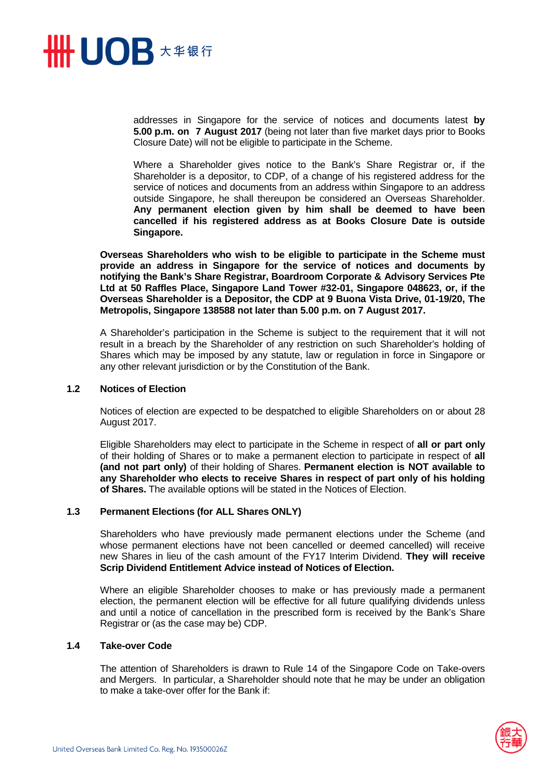

addresses in Singapore for the service of notices and documents latest **by 5.00 p.m. on 7 August 2017** (being not later than five market days prior to Books Closure Date) will not be eligible to participate in the Scheme.

Where a Shareholder gives notice to the Bank's Share Registrar or, if the Shareholder is a depositor, to CDP, of a change of his registered address for the service of notices and documents from an address within Singapore to an address outside Singapore, he shall thereupon be considered an Overseas Shareholder. **Any permanent election given by him shall be deemed to have been cancelled if his registered address as at Books Closure Date is outside Singapore.** 

**Overseas Shareholders who wish to be eligible to participate in the Scheme must provide an address in Singapore for the service of notices and documents by notifying the Bank's Share Registrar, Boardroom Corporate & Advisory Services Pte Ltd at 50 Raffles Place, Singapore Land Tower #32-01, Singapore 048623, or, if the Overseas Shareholder is a Depositor, the CDP at 9 Buona Vista Drive, 01-19/20, The Metropolis, Singapore 138588 not later than 5.00 p.m. on 7 August 2017.** 

A Shareholder's participation in the Scheme is subject to the requirement that it will not result in a breach by the Shareholder of any restriction on such Shareholder's holding of Shares which may be imposed by any statute, law or regulation in force in Singapore or any other relevant jurisdiction or by the Constitution of the Bank.

#### **1.2 Notices of Election**

Notices of election are expected to be despatched to eligible Shareholders on or about 28 August 2017.

Eligible Shareholders may elect to participate in the Scheme in respect of **all or part only**  of their holding of Shares or to make a permanent election to participate in respect of **all (and not part only)** of their holding of Shares. **Permanent election is NOT available to any Shareholder who elects to receive Shares in respect of part only of his holding of Shares.** The available options will be stated in the Notices of Election.

#### **1.3 Permanent Elections (for ALL Shares ONLY)**

Shareholders who have previously made permanent elections under the Scheme (and whose permanent elections have not been cancelled or deemed cancelled) will receive new Shares in lieu of the cash amount of the FY17 Interim Dividend. **They will receive Scrip Dividend Entitlement Advice instead of Notices of Election.** 

Where an eligible Shareholder chooses to make or has previously made a permanent election, the permanent election will be effective for all future qualifying dividends unless and until a notice of cancellation in the prescribed form is received by the Bank's Share Registrar or (as the case may be) CDP.

#### **1.4 Take-over Code**

The attention of Shareholders is drawn to Rule 14 of the Singapore Code on Take-overs and Mergers. In particular, a Shareholder should note that he may be under an obligation to make a take-over offer for the Bank if:

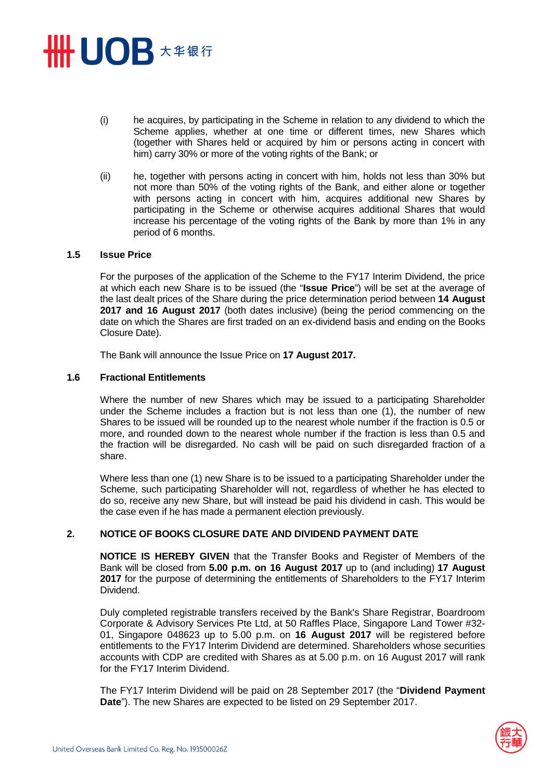# **HHUOB \*\*\*\***

- (i) he acquires, by participating in the Scheme in relation to any dividend to which the Scheme applies, whether at one time or different times, new Shares which (together with Shares held or acquired by him or persons acting in concert with him) carry 30% or more of the voting rights of the Bank; or
- (ii) he, together with persons acting in concert with him, holds not less than 30% but not more than 50% of the voting rights of the Bank, and either alone or together with persons acting in concert with him, acquires additional new Shares by participating in the Scheme or otherwise acquires additional Shares that would increase his percentage of the voting rights of the Bank by more than 1% in any period of 6 months.

#### **1.5 Issue Price**

For the purposes of the application of the Scheme to the FY17 Interim Dividend, the price at which each new Share is to be issued (the "**Issue Price**") will be set at the average of the last dealt prices of the Share during the price determination period between **14 August 2017 and 16 August 2017** (both dates inclusive) (being the period commencing on the date on which the Shares are first traded on an ex-dividend basis and ending on the Books Closure Date).

The Bank will announce the Issue Price on **17 August 2017.**

#### **1.6 Fractional Entitlements**

Where the number of new Shares which may be issued to a participating Shareholder under the Scheme includes a fraction but is not less than one (1), the number of new Shares to be issued will be rounded up to the nearest whole number if the fraction is 0.5 or more, and rounded down to the nearest whole number if the fraction is less than 0.5 and the fraction will be disregarded. No cash will be paid on such disregarded fraction of a share.

Where less than one (1) new Share is to be issued to a participating Shareholder under the Scheme, such participating Shareholder will not, regardless of whether he has elected to do so, receive any new Share, but will instead be paid his dividend in cash. This would be the case even if he has made a permanent election previously.

#### **2. NOTICE OF BOOKS CLOSURE DATE AND DIVIDEND PAYMENT DATE**

**NOTICE IS HEREBY GIVEN** that the Transfer Books and Register of Members of the Bank will be closed from **5.00 p.m. on 16 August 2017** up to (and including) **17 August 2017** for the purpose of determining the entitlements of Shareholders to the FY17 Interim Dividend.

Duly completed registrable transfers received by the Bank's Share Registrar, Boardroom Corporate & Advisory Services Pte Ltd, at 50 Raffles Place, Singapore Land Tower #32- 01, Singapore 048623 up to 5.00 p.m. on **16 August 2017** will be registered before entitlements to the FY17 Interim Dividend are determined. Shareholders whose securities accounts with CDP are credited with Shares as at 5.00 p.m. on 16 August 2017 will rank for the FY17 Interim Dividend.

The FY17 Interim Dividend will be paid on 28 September 2017 (the "**Dividend Payment Date**"). The new Shares are expected to be listed on 29 September 2017.